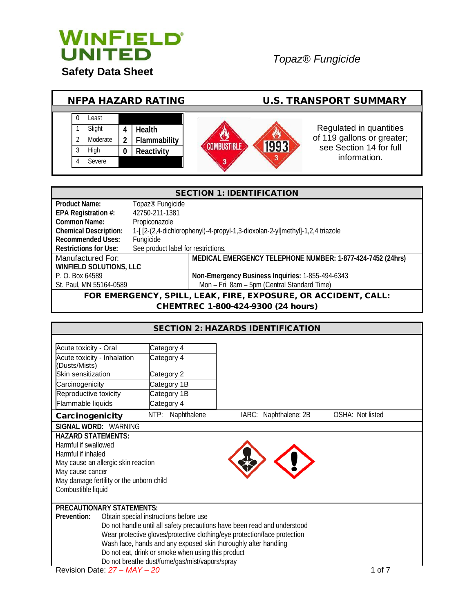

# *Topaz® Fungicide*



| <b>SECTION 1: IDENTIFICATION</b>                               |                                                                              |                                                            |  |
|----------------------------------------------------------------|------------------------------------------------------------------------------|------------------------------------------------------------|--|
| <b>Product Name:</b>                                           | Topaz <sup>®</sup> Fungicide                                                 |                                                            |  |
| EPA Registration #:                                            | 42750-211-1381                                                               |                                                            |  |
| <b>Common Name:</b>                                            | Propiconazole                                                                |                                                            |  |
| <b>Chemical Description:</b>                                   | 1-[[2-(2,4-dichlorophenyl)-4-propyl-1,3-dioxolan-2-yl]methyl]-1,2,4 triazole |                                                            |  |
| <b>Recommended Uses:</b>                                       | Fungicide                                                                    |                                                            |  |
| <b>Restrictions for Use:</b>                                   | See product label for restrictions.                                          |                                                            |  |
| Manufactured For:                                              |                                                                              | MEDICAL EMERGENCY TELEPHONE NUMBER: 1-877-424-7452 (24hrs) |  |
|                                                                | <b>WINFIELD SOLUTIONS, LLC</b>                                               |                                                            |  |
| P. O. Box 64589                                                |                                                                              | Non-Emergency Business Inquiries: 1-855-494-6343           |  |
| St. Paul, MN 55164-0589                                        | Mon - Fri 8am - 5pm (Central Standard Time)                                  |                                                            |  |
| FOR EMERGENCY, SPILL, LEAK, FIRE, EXPOSURE, OR ACCIDENT, CALL: |                                                                              |                                                            |  |

CHEMTREC 1-800-424-9300 (24 hours)

| <b>SECTION 2: HAZARDS IDENTIFICATION</b>                                                                              |                                                |                                                                           |                  |
|-----------------------------------------------------------------------------------------------------------------------|------------------------------------------------|---------------------------------------------------------------------------|------------------|
|                                                                                                                       |                                                |                                                                           |                  |
| Acute toxicity - Oral                                                                                                 | Category 4                                     |                                                                           |                  |
| Acute toxicity - Inhalation<br>(Dusts/Mists)                                                                          | Category 4                                     |                                                                           |                  |
| Skin sensitization                                                                                                    | Category 2                                     |                                                                           |                  |
| Carcinogenicity                                                                                                       | Category 1B                                    |                                                                           |                  |
| Reproductive toxicity                                                                                                 | Category 1B                                    |                                                                           |                  |
| Flammable liquids                                                                                                     | Category 4                                     |                                                                           |                  |
| Carcinogenicity                                                                                                       | NTP: Naphthalene                               | IARC: Naphthalene: 2B                                                     | OSHA: Not listed |
| SIGNAL WORD: WARNING                                                                                                  |                                                |                                                                           |                  |
| <b>HAZARD STATEMENTS:</b>                                                                                             |                                                |                                                                           |                  |
| Harmful if swallowed                                                                                                  |                                                |                                                                           |                  |
| Harmful if inhaled                                                                                                    |                                                |                                                                           |                  |
| May cause an allergic skin reaction                                                                                   |                                                |                                                                           |                  |
| May cause cancer                                                                                                      |                                                |                                                                           |                  |
| May damage fertility or the unborn child                                                                              |                                                |                                                                           |                  |
| Combustible liquid                                                                                                    |                                                |                                                                           |                  |
|                                                                                                                       |                                                |                                                                           |                  |
| <b>PRECAUTIONARY STATEMENTS:</b><br>Prevention:                                                                       |                                                |                                                                           |                  |
|                                                                                                                       | Obtain special instructions before use         |                                                                           |                  |
|                                                                                                                       |                                                | Do not handle until all safety precautions have been read and understood  |                  |
|                                                                                                                       |                                                | Wear protective gloves/protective clothing/eye protection/face protection |                  |
| Wash face, hands and any exposed skin thoroughly after handling<br>Do not eat, drink or smoke when using this product |                                                |                                                                           |                  |
|                                                                                                                       |                                                |                                                                           |                  |
| Revision Date: $27 - MAY - 20$                                                                                        | Do not breathe dust/fume/gas/mist/vapors/spray |                                                                           | 1 of 7           |
|                                                                                                                       |                                                |                                                                           |                  |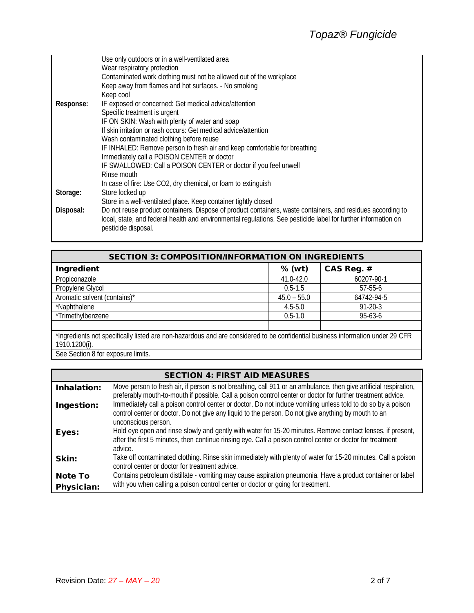|           | Use only outdoors or in a well-ventilated area                                                                 |
|-----------|----------------------------------------------------------------------------------------------------------------|
|           | Wear respiratory protection                                                                                    |
|           | Contaminated work clothing must not be allowed out of the workplace                                            |
|           | Keep away from flames and hot surfaces. - No smoking                                                           |
|           | Keep cool                                                                                                      |
| Response: | IF exposed or concerned: Get medical advice/attention                                                          |
|           | Specific treatment is urgent                                                                                   |
|           | IF ON SKIN: Wash with plenty of water and soap                                                                 |
|           | If skin irritation or rash occurs: Get medical advice/attention                                                |
|           | Wash contaminated clothing before reuse                                                                        |
|           | IF INHALED: Remove person to fresh air and keep comfortable for breathing                                      |
|           | Immediately call a POISON CENTER or doctor                                                                     |
|           | IF SWALLOWED: Call a POISON CENTER or doctor if you feel unwell                                                |
|           | Rinse mouth                                                                                                    |
|           | In case of fire: Use CO2, dry chemical, or foam to extinguish                                                  |
| Storage:  | Store locked up                                                                                                |
|           | Store in a well-ventilated place. Keep container tightly closed                                                |
| Disposal: | Do not reuse product containers. Dispose of product containers, waste containers, and residues according to    |
|           | local, state, and federal health and environmental regulations. See pesticide label for further information on |
|           | pesticide disposal.                                                                                            |
|           |                                                                                                                |

| <b>SECTION 3: COMPOSITION/INFORMATION ON INGREDIENTS</b>                                                                       |               |               |  |
|--------------------------------------------------------------------------------------------------------------------------------|---------------|---------------|--|
| Ingredient                                                                                                                     | $%$ (wt)      | CAS Reg. #    |  |
| Propiconazole                                                                                                                  | 41.0-42.0     | 60207-90-1    |  |
| Propylene Glycol                                                                                                               | $0.5 - 1.5$   | $57 - 55 - 6$ |  |
| Aromatic solvent (contains)*                                                                                                   | $45.0 - 55.0$ | 64742-94-5    |  |
| *Naphthalene                                                                                                                   | $4.5 - 5.0$   | $91 - 20 - 3$ |  |
| *Trimethylbenzene                                                                                                              | $0.5 - 1.0$   | $95 - 63 - 6$ |  |
|                                                                                                                                |               |               |  |
| *Ingredients not specifically listed are non-hazardous and are considered to be confidential business information under 29 CFR |               |               |  |
| 1910.1200(i).                                                                                                                  |               |               |  |
| See Section 8 for exposure limits.                                                                                             |               |               |  |

|                                     | <b>SECTION 4: FIRST AID MEASURES</b>                                                                                                                                                                                                      |
|-------------------------------------|-------------------------------------------------------------------------------------------------------------------------------------------------------------------------------------------------------------------------------------------|
| Inhalation:                         | Move person to fresh air, if person is not breathing, call 911 or an ambulance, then give artificial respiration,<br>preferably mouth-to-mouth if possible. Call a poison control center or doctor for further treatment advice.          |
| Ingestion:                          | Immediately call a poison control center or doctor. Do not induce vomiting unless told to do so by a poison<br>control center or doctor. Do not give any liquid to the person. Do not give anything by mouth to an<br>unconscious person. |
| Eyes:                               | Hold eye open and rinse slowly and gently with water for 15-20 minutes. Remove contact lenses, if present,<br>after the first 5 minutes, then continue rinsing eye. Call a poison control center or doctor for treatment<br>advice.       |
| Skin:                               | Take off contaminated clothing. Rinse skin immediately with plenty of water for 15-20 minutes. Call a poison<br>control center or doctor for treatment advice.                                                                            |
| <b>Note To</b><br><b>Physician:</b> | Contains petroleum distillate - vomiting may cause aspiration pneumonia. Have a product container or label<br>with you when calling a poison control center or doctor or going for treatment.                                             |

L.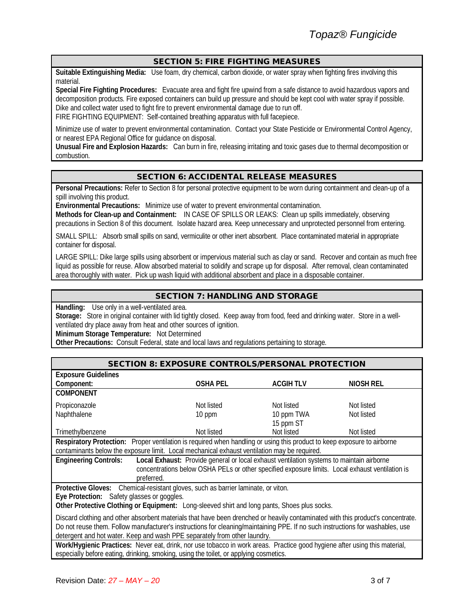## SECTION 5: FIRE FIGHTING MEASURES

**Suitable Extinguishing Media:** Use foam, dry chemical, carbon dioxide, or water spray when fighting fires involving this material.

**Special Fire Fighting Procedures:** Evacuate area and fight fire upwind from a safe distance to avoid hazardous vapors and decomposition products. Fire exposed containers can build up pressure and should be kept cool with water spray if possible. Dike and collect water used to fight fire to prevent environmental damage due to run off.

FIRE FIGHTING EQUIPMENT: Self-contained breathing apparatus with full facepiece.

Minimize use of water to prevent environmental contamination. Contact your State Pesticide or Environmental Control Agency, or nearest EPA Regional Office for guidance on disposal.

**Unusual Fire and Explosion Hazards:** Can burn in fire, releasing irritating and toxic gases due to thermal decomposition or combustion.

# SECTION 6: ACCIDENTAL RELEASE MEASURES

**Personal Precautions:** Refer to Section 8 for personal protective equipment to be worn during containment and clean-up of a spill involving this product.

**Environmental Precautions:** Minimize use of water to prevent environmental contamination.

**Methods for Clean-up and Containment:** IN CASE OF SPILLS OR LEAKS: Clean up spills immediately, observing precautions in Section 8 of this document. Isolate hazard area. Keep unnecessary and unprotected personnel from entering.

SMALL SPILL: Absorb small spills on sand, vermiculite or other inert absorbent. Place contaminated material in appropriate container for disposal.

LARGE SPILL: Dike large spills using absorbent or impervious material such as clay or sand. Recover and contain as much free liquid as possible for reuse. Allow absorbed material to solidify and scrape up for disposal. After removal, clean contaminated area thoroughly with water. Pick up wash liquid with additional absorbent and place in a disposable container.

# SECTION 7: HANDLING AND STORAGE

Handling: Use only in a well-ventilated area.

**Storage:** Store in original container with lid tightly closed. Keep away from food, feed and drinking water. Store in a wellventilated dry place away from heat and other sources of ignition.

**Minimum Storage Temperature:** Not Determined

**Other Precautions:** Consult Federal, state and local laws and regulations pertaining to storage.

| <b>SECTION 8: EXPOSURE CONTROLS/PERSONAL PROTECTION</b>                                                                         |                                                                                                 |                 |                  |
|---------------------------------------------------------------------------------------------------------------------------------|-------------------------------------------------------------------------------------------------|-----------------|------------------|
| <b>Exposure Guidelines</b>                                                                                                      |                                                                                                 |                 |                  |
| Component:                                                                                                                      | <b>OSHA PEL</b>                                                                                 | <b>ACGIHTLV</b> | <b>NIOSH REL</b> |
| <b>COMPONENT</b>                                                                                                                |                                                                                                 |                 |                  |
| Propiconazole                                                                                                                   | Not listed                                                                                      | Not listed      | Not listed       |
| Naphthalene                                                                                                                     | 10 ppm                                                                                          | 10 ppm TWA      | Not listed       |
|                                                                                                                                 |                                                                                                 | 15 ppm ST       |                  |
| Trimethylbenzene                                                                                                                | Not listed                                                                                      | Not listed      | Not listed       |
| Respiratory Protection: Proper ventilation is required when handling or using this product to keep exposure to airborne         |                                                                                                 |                 |                  |
| contaminants below the exposure limit. Local mechanical exhaust ventilation may be required.                                    |                                                                                                 |                 |                  |
| <b>Engineering Controls:</b>                                                                                                    | Local Exhaust: Provide general or local exhaust ventilation systems to maintain airborne        |                 |                  |
|                                                                                                                                 | concentrations below OSHA PELs or other specified exposure limits. Local exhaust ventilation is |                 |                  |
| preferred.                                                                                                                      |                                                                                                 |                 |                  |
| Protective Gloves: Chemical-resistant gloves, such as barrier laminate, or viton.                                               |                                                                                                 |                 |                  |
| Eye Protection: Safety glasses or goggles.                                                                                      |                                                                                                 |                 |                  |
| Other Protective Clothing or Equipment: Long-sleeved shirt and long pants, Shoes plus socks.                                    |                                                                                                 |                 |                  |
| Discard clothing and other absorbent materials that have been drenched or heavily contaminated with this product's concentrate. |                                                                                                 |                 |                  |
| Do not reuse them. Follow manufacturer's instructions for cleaning/maintaining PPE. If no such instructions for washables, use  |                                                                                                 |                 |                  |
| detergent and hot water. Keep and wash PPE separately from other laundry.                                                       |                                                                                                 |                 |                  |
| Work/Hygienic Practices: Never eat, drink, nor use tobacco in work areas. Practice good hygiene after using this material,      |                                                                                                 |                 |                  |
| especially before eating, drinking, smoking, using the toilet, or applying cosmetics.                                           |                                                                                                 |                 |                  |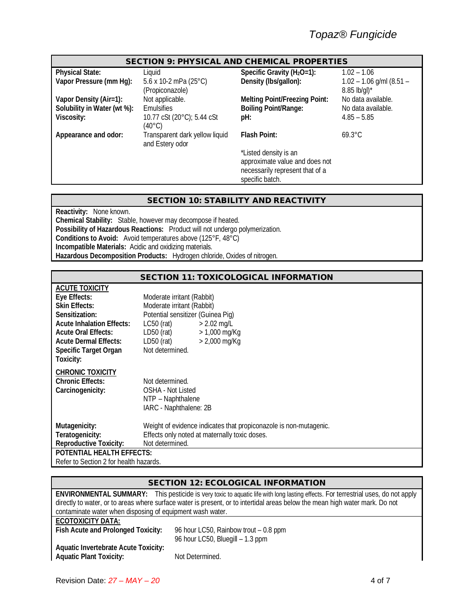### SECTION 9: PHYSICAL AND CHEMICAL PROPERTIES

**Physical State:** Liquid Liquid Specific Gravity (H<sub>2</sub>O=1): 1.02 – 1.06<br> **Vapor Pressure (mm Hg):** 5.6 x 10-2 mPa (25°C) Density (Ibs/gallon): 1.02 – 1.06 **Vapor Pressure** (mm Hg): (Propiconazole) **Density (lbs/gallon):** 1.02 – 1.06 g/ml (8.51 – 8.85 lb/gl)\*<br>No data available. Vapor Density (Air=1): Not applicable. **Melting Point/Freezing Point:**<br>
Solubility in Water (wt %): Emulsifies **Material and Australia and Point/Range: Solubility in Water (wt %):** Emulsifies **Boiling Point/Range:** No data available.<br> **Viscosity:** 185 – 5.85<br> **Viscosity:** 4.85 – 5.85 **Viscosity:** 10.77 cSt (20°C); 5.44 cSt (40°C) **pH:** 4.85 – 5.85 Appearance and odor: Transparent dark yellow liquid and Estery odor **Flash Point:** \*Listed density is an approximate value and does not necessarily represent that of a specific batch. 69.3°C

#### SECTION 10: STABILITY AND REACTIVITY

**Reactivity:** None known. **Chemical Stability:** Stable, however may decompose if heated. **Possibility of Hazardous Reactions:** Product will not undergo polymerization. **Conditions to Avoid:** Avoid temperatures above (125°F, 48°C) **Incompatible Materials:** Acidic and oxidizing materials. **Hazardous Decomposition Products:** Hydrogen chloride, Oxides of nitrogen.

# SECTION 11: TOXICOLOGICAL INFORMATION

| <b>ACUTE TOXICITY</b>                  |                                                                   |
|----------------------------------------|-------------------------------------------------------------------|
| Eye Effects:                           | Moderate irritant (Rabbit)                                        |
| <b>Skin Effects:</b>                   | Moderate irritant (Rabbit)                                        |
| Sensitization:                         | Potential sensitizer (Guinea Pig)                                 |
| <b>Acute Inhalation Effects:</b>       | LC50 (rat)<br>$> 2.02$ mg/L                                       |
| <b>Acute Oral Effects:</b>             | $LD50$ (rat)<br>$> 1,000 \text{ mg/Kg}$                           |
| <b>Acute Dermal Effects:</b>           | $LD50$ (rat)<br>$> 2,000 \text{ mg/Kg}$                           |
| Specific Target Organ                  | Not determined.                                                   |
| Toxicity:                              |                                                                   |
| <b>CHRONIC TOXICITY</b>                |                                                                   |
| <b>Chronic Effects:</b>                | Not determined.                                                   |
| Carcinogenicity:                       | OSHA - Not Listed                                                 |
|                                        | NTP - Naphthalene                                                 |
|                                        | IARC - Naphthalene: 2B                                            |
|                                        |                                                                   |
| Mutagenicity:                          | Weight of evidence indicates that propiconazole is non-mutagenic. |
| Teratogenicity:                        | Effects only noted at maternally toxic doses.                     |
| <b>Reproductive Toxicity:</b>          | Not determined.                                                   |
| <b>POTENTIAL HEALTH EFFECTS:</b>       |                                                                   |
| Refer to Section 2 for health hazards. |                                                                   |

| <b>SECTION 12: ECOLOGICAL INFORMATION</b>                 |                                                                                                                                          |  |  |  |
|-----------------------------------------------------------|------------------------------------------------------------------------------------------------------------------------------------------|--|--|--|
|                                                           | <b>ENVIRONMENTAL SUMMARY:</b> This pesticide is very toxic to aquatic life with long lasting effects. For terrestrial uses, do not apply |  |  |  |
|                                                           | directly to water, or to areas where surface water is present, or to intertidal areas below the mean high water mark. Do not             |  |  |  |
| contaminate water when disposing of equipment wash water. |                                                                                                                                          |  |  |  |
| <b>ECOTOXICITY DATA:</b>                                  |                                                                                                                                          |  |  |  |
| Fish Acute and Prolonged Toxicity:                        | 96 hour LC50, Rainbow trout – 0.8 ppm                                                                                                    |  |  |  |
|                                                           | 96 hour LC50, Bluegill - 1.3 ppm                                                                                                         |  |  |  |
| <b>Aquatic Invertebrate Acute Toxicity:</b>               |                                                                                                                                          |  |  |  |
| <b>Aquatic Plant Toxicity:</b>                            | Not Determined.                                                                                                                          |  |  |  |
|                                                           |                                                                                                                                          |  |  |  |
|                                                           |                                                                                                                                          |  |  |  |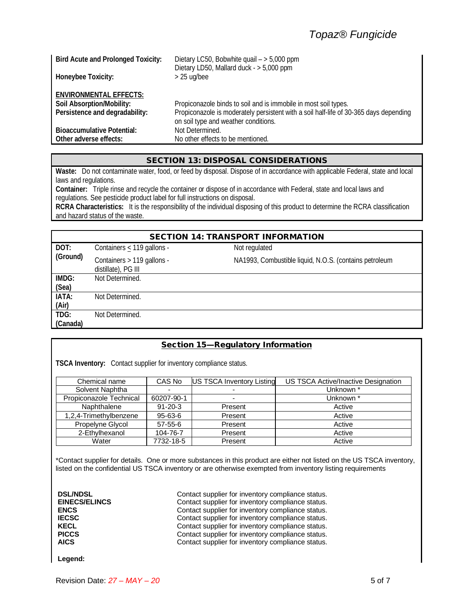| <b>Bird Acute and Prolonged Toxicity:</b> | Dietary LC50, Bobwhite quail $-$ > 5,000 ppm                                          |
|-------------------------------------------|---------------------------------------------------------------------------------------|
|                                           | Dietary LD50, Mallard duck - > 5,000 ppm                                              |
| Honeybee Toxicity:                        | $>$ 25 ug/bee                                                                         |
|                                           |                                                                                       |
| <b>ENVIRONMENTAL EFFECTS:</b>             |                                                                                       |
| Soil Absorption/Mobility:                 | Propiconazole binds to soil and is immobile in most soil types.                       |
| Persistence and degradability:            | Propiconazole is moderately persistent with a soil half-life of 30-365 days depending |
|                                           | on soil type and weather conditions.                                                  |
|                                           |                                                                                       |
| <b>Bioaccumulative Potential:</b>         | Not Determined.                                                                       |
| Other adverse effects:                    | No other effects to be mentioned.                                                     |

# SECTION 13: DISPOSAL CONSIDERATIONS

**Waste:** Do not contaminate water, food, or feed by disposal. Dispose of in accordance with applicable Federal, state and local laws and regulations.

**Container:** Triple rinse and recycle the container or dispose of in accordance with Federal, state and local laws and regulations. See pesticide product label for full instructions on disposal.

**RCRA Characteristics:** It is the responsibility of the individual disposing of this product to determine the RCRA classification and hazard status of the waste.

| <b>SECTION 14: TRANSPORT INFORMATION</b> |                                                   |                                                        |  |
|------------------------------------------|---------------------------------------------------|--------------------------------------------------------|--|
| DOT:                                     | Containers $\leq$ 119 gallons -                   | Not regulated                                          |  |
| (Ground)                                 | Containers > 119 gallons -<br>distillate), PG III | NA1993, Combustible liquid, N.O.S. (contains petroleum |  |
| IMDG:                                    | Not Determined.                                   |                                                        |  |
| (Sea)                                    |                                                   |                                                        |  |
| IATA:                                    | Not Determined.                                   |                                                        |  |
| (Air)                                    |                                                   |                                                        |  |
| TDG:                                     | Not Determined.                                   |                                                        |  |
| (Canada)                                 |                                                   |                                                        |  |
|                                          |                                                   |                                                        |  |

## Section 15—Regulatory Information

**TSCA Inventory:** Contact supplier for inventory compliance status.

| Chemical name           | CAS No        | <b>US TSCA Inventory Listing</b> | US TSCA Active/Inactive Designation |
|-------------------------|---------------|----------------------------------|-------------------------------------|
| Solvent Naphtha         |               |                                  | Unknown *                           |
| Propiconazole Technical | 60207-90-1    |                                  | Unknown *                           |
| Naphthalene             | $91 - 20 - 3$ | Present                          | Active                              |
| 1,2,4-Trimethylbenzene  | $95 - 63 - 6$ | Present                          | Active                              |
| Propelyne Glycol        | $57-55-6$     | Present                          | Active                              |
| 2-Ethylhexanol          | 104-76-7      | Present                          | Active                              |
| Water                   | 7732-18-5     | Present                          | Active                              |

\*Contact supplier for details. One or more substances in this product are either not listed on the US TSCA inventory, listed on the confidential US TSCA inventory or are otherwise exempted from inventory listing requirements

**DSL/NDSL DSL/NDSL Contact supplier for inventory compliance status.**<br> **Contact supplier for inventory compliance status. EINECS/ELINCS** Contact supplier for inventory compliance status.<br> **ENCS** Contact supplier for inventory compliance status. **ENCS ENCS Contact supplier for inventory compliance status.**<br> **Contact supplier for inventory compliance status. IECSC Contact supplier for inventory compliance status.**<br> **Contact supplier for inventory compliance status. KECL Contact supplier for inventory compliance status.**<br> **PICCS** Contact supplier for inventory compliance status. **PICCS** PICCS **Contact supplier for inventory compliance status.**<br>AICS Contact supplier for inventory compliance status. Contact supplier for inventory compliance status.

**Legend:**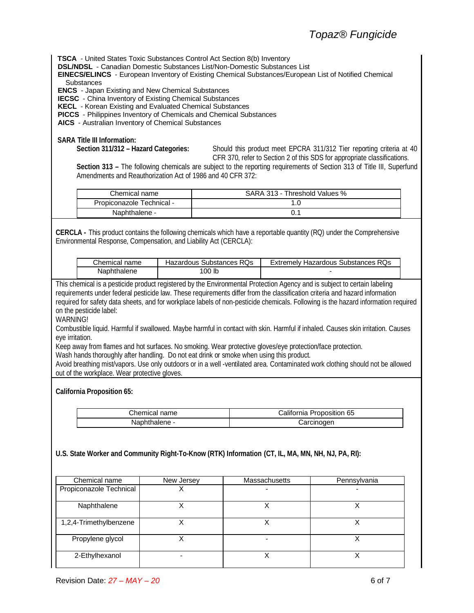**TSCA** - United States Toxic Substances Control Act Section 8(b) Inventory

**DSL/NDSL** - Canadian Domestic Substances List/Non-Domestic Substances List

**EINECS/ELINCS** - European Inventory of Existing Chemical Substances/European List of Notified Chemical **Substances** 

**ENCS** - Japan Existing and New Chemical Substances

**IECSC** - China Inventory of Existing Chemical Substances

**KECL** - Korean Existing and Evaluated Chemical Substances

**PICCS** - Philippines Inventory of Chemicals and Chemical Substances

**AICS** - Australian Inventory of Chemical Substances

### **SARA Title III Information:**

**Section 311/312 – Hazard Categories:** Should this product meet EPCRA 311/312 Tier reporting criteria at 40 CFR 370, refer to Section 2 of this SDS for appropriate classifications.

**Section 313 –** The following chemicals are subject to the reporting requirements of Section 313 of Title III, Superfund Amendments and Reauthorization Act of 1986 and 40 CFR 372:

| Chemical name             | SARA 313 - Threshold Values % |
|---------------------------|-------------------------------|
| Propiconazole Technical - |                               |
| Naphthalene -             |                               |

**CERCLA -** This product contains the following chemicals which have a reportable quantity (RQ) under the Comprehensive Environmental Response, Compensation, and Liability Act (CERCLA):

| Chemical name | Hazardous Substances RQs | Extremely Hazardous Substances RQs |
|---------------|--------------------------|------------------------------------|
| Naphthalene   | 100 lb                   |                                    |

This chemical is a pesticide product registered by the Environmental Protection Agency and is subject to certain labeling requirements under federal pesticide law. These requirements differ from the classification criteria and hazard information required for safety data sheets, and for workplace labels of non-pesticide chemicals. Following is the hazard information required on the pesticide label:

WARNING!

Combustible liquid. Harmful if swallowed. Maybe harmful in contact with skin. Harmful if inhaled. Causes skin irritation. Causes eye irritation.

Keep away from flames and hot surfaces. No smoking. Wear protective gloves/eye protection/face protection.

Wash hands thoroughly after handling. Do not eat drink or smoke when using this product.

Avoid breathing mist/vapors. Use only outdoors or in a well -ventilated area. Contaminated work clothing should not be allowed out of the workplace. Wear protective gloves.

#### **California Proposition 65:**

| Chemical name | California Proposition 65 |  |
|---------------|---------------------------|--|
| Naphthalene - | Carcinogen                |  |

**U.S. State Worker and Community Right-To-Know (RTK) Information (CT, IL, MA, MN, NH, NJ, PA, RI):**

| Chemical name           | New Jersey | Massachusetts | Pennsylvania |
|-------------------------|------------|---------------|--------------|
| Propiconazole Technical |            |               |              |
| Naphthalene             |            |               |              |
| 1,2,4-Trimethylbenzene  |            |               |              |
| Propylene glycol        |            |               |              |
| 2-Ethylhexanol          |            |               |              |